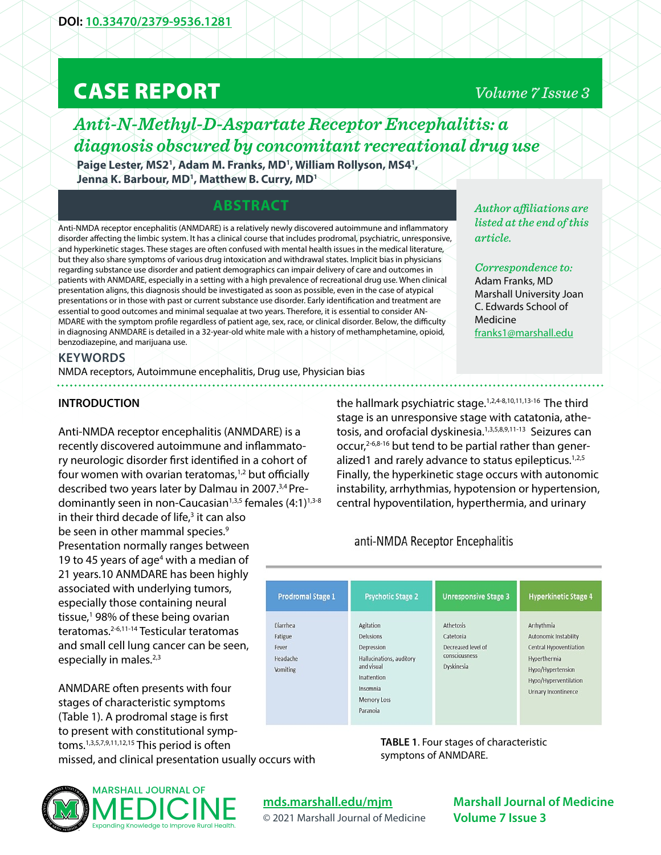# CASE REPORT

### *Volume 7 Issue 3*

## *Anti-N-Methyl-D-Aspartate Receptor Encephalitis: a diagnosis obscured by concomitant recreational drug use*

Paige Lester, MS2<sup>1</sup>, Adam M. Franks, MD<sup>1</sup>, William Rollyson, MS4<sup>1</sup>, **Jenna K. Barbour, MD1 , Matthew B. Curry, MD1**

#### **ABSTRACT**

Anti-NMDA receptor encephalitis (ANMDARE) is a relatively newly discovered autoimmune and inflammatory disorder affecting the limbic system. It has a clinical course that includes prodromal, psychiatric, unresponsive, and hyperkinetic stages. These stages are often confused with mental health issues in the medical literature, but they also share symptoms of various drug intoxication and withdrawal states. Implicit bias in physicians regarding substance use disorder and patient demographics can impair delivery of care and outcomes in patients with ANMDARE, especially in a setting with a high prevalence of recreational drug use. When clinical presentation aligns, this diagnosis should be investigated as soon as possible, even in the case of atypical presentations or in those with past or current substance use disorder. Early identification and treatment are essential to good outcomes and minimal sequalae at two years. Therefore, it is essential to consider AN-MDARE with the symptom profile regardless of patient age, sex, race, or clinical disorder. Below, the difficulty in diagnosing ANMDARE is detailed in a 32-year-old white male with a history of methamphetamine, opioid, benzodiazepine, and marijuana use.

#### **KEYWORDS**

NMDA receptors, Autoimmune encephalitis, Drug use, Physician bias

#### **INTRODUCTION**

Anti-NMDA receptor encephalitis (ANMDARE) is a recently discovered autoimmune and inflammatory neurologic disorder first identified in a cohort of four women with ovarian teratomas, $1,2$  but officially described two years later by Dalmau in 2007.3,4 Predominantly seen in non-Caucasian<sup>1,3,5</sup> females  $(4:1)^{1,3-8}$ 

in their third decade of life,<sup>3</sup> it can also be seen in other mammal species.<sup>9</sup> Presentation normally ranges between 19 to 45 years of age<sup>4</sup> with a median of 21 years.10 ANMDARE has been highly associated with underlying tumors, especially those containing neural tissue,<sup>1</sup> 98% of these being ovarian teratomas.2-6,11-14 Testicular teratomas and small cell lung cancer can be seen, especially in males.<sup>2,3</sup>

ANMDARE often presents with four stages of characteristic symptoms (Table 1). A prodromal stage is first to present with constitutional symptoms.1,3,5,7,9,11,12,15 This period is often missed, and clinical presentation usually occurs with



#### **[mds.marshall.edu/mjm](https://mds.marshall.edu/mjm/)**

© 2021 Marshall Journal of Medicine

*Author affiliations are listed at the end of this article.* 

*Correspondence to:*  Adam Franks, MD Marshall University Joan C. Edwards School of Medicine [franks1@marshall.edu](mailto:franks1%40marshall.edu?subject=)

the hallmark psychiatric stage.<sup>1,2,4-8,10,11,13-16</sup> The third stage is an unresponsive stage with catatonia, athetosis, and orofacial dyskinesia.<sup>1,3,5,8,9,11-13</sup> Seizures can occur,<sup>2-6,8-16</sup> but tend to be partial rather than generalized1 and rarely advance to status epilepticus. $1,2,5$ Finally, the hyperkinetic stage occurs with autonomic instability, arrhythmias, hypotension or hypertension, central hypoventilation, hyperthermia, and urinary

#### anti-NMDA Receptor Encephalitis

| <b>Prodromal Stage 1</b>                                    | <b>Psychotic Stage 2</b>                                                                                                                           | <b>Unresponsive Stage 3</b>                                                        | <b>Hyperkinetic Stage 4</b>                                                                                                                          |
|-------------------------------------------------------------|----------------------------------------------------------------------------------------------------------------------------------------------------|------------------------------------------------------------------------------------|------------------------------------------------------------------------------------------------------------------------------------------------------|
| Diarrhea<br>Fatigue<br>Fever<br>Headache<br><b>Vomiting</b> | Agitation<br><b>Delusions</b><br>Depression<br>Hallucinations, auditory<br>and visual<br>Inattention<br>Insomnia<br><b>Memory Loss</b><br>Paranoia | <b>Athetosis</b><br>Catetonia<br>Decreased level of<br>consciousness<br>Dyskinesia | Arrhythmia<br>Autonomic Instability<br>Central Hypoventilation<br>Hyperthermia<br>Hypo/Hypertension<br>Hypo/Hyperventilation<br>Urinary Incontinence |

**TABLE 1**. Four stages of characteristic symptons of ANMDARE.

**Marshall Journal of Medicine**

**Volume 7 Issue 3**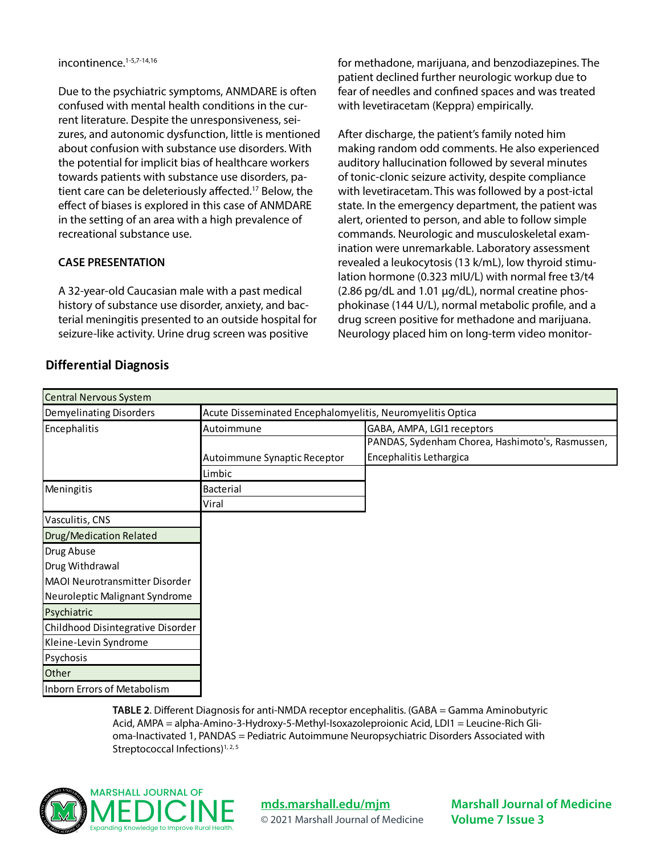Due to the psychiatric symptoms, ANMDARE is often confused with mental health conditions in the current literature. Despite the unresponsiveness, seizures, and autonomic dysfunction, little is mentioned about confusion with substance use disorders. With the potential for implicit bias of healthcare workers towards patients with substance use disorders, patient care can be deleteriously affected.<sup>17</sup> Below, the effect of biases is explored in this case of ANMDARE in the setting of an area with a high prevalence of recreational substance use.

#### **CASE PRESENTATION**

A 32-year-old Caucasian male with a past medical history of substance use disorder, anxiety, and bacterial meningitis presented to an outside hospital for seizure-like activity. Urine drug screen was positive

**Differential Diagnosis**

for methadone, marijuana, and benzodiazepines. The patient declined further neurologic workup due to fear of needles and confined spaces and was treated with levetiracetam (Keppra) empirically.

After discharge, the patient's family noted him making random odd comments. He also experienced auditory hallucination followed by several minutes of tonic-clonic seizure activity, despite compliance with levetiracetam. This was followed by a post-ictal state. In the emergency department, the patient was alert, oriented to person, and able to follow simple commands. Neurologic and musculoskeletal examination were unremarkable. Laboratory assessment revealed a leukocytosis (13 k/mL), low thyroid stimulation hormone (0.323 mIU/L) with normal free t3/t4 (2.86 pg/dL and 1.01 µg/dL), normal creatine phosphokinase (144 U/L), normal metabolic profile, and a drug screen positive for methadone and marijuana. Neurology placed him on long-term video monitor-

| Central Nervous System            |                                                            |                                                  |  |  |  |  |  |
|-----------------------------------|------------------------------------------------------------|--------------------------------------------------|--|--|--|--|--|
| Demyelinating Disorders           | Acute Disseminated Encephalomyelitis, Neuromyelitis Optica |                                                  |  |  |  |  |  |
| Encephalitis                      | Autoimmune                                                 | GABA, AMPA, LGI1 receptors                       |  |  |  |  |  |
|                                   |                                                            | PANDAS, Sydenham Chorea, Hashimoto's, Rasmussen, |  |  |  |  |  |
|                                   | Autoimmune Synaptic Receptor                               | Encephalitis Lethargica                          |  |  |  |  |  |
|                                   | Limbic                                                     |                                                  |  |  |  |  |  |
| Meningitis                        | <b>Bacterial</b>                                           |                                                  |  |  |  |  |  |
|                                   | Viral                                                      |                                                  |  |  |  |  |  |
| Vasculitis, CNS                   |                                                            |                                                  |  |  |  |  |  |
| Drug/Medication Related           |                                                            |                                                  |  |  |  |  |  |
| Drug Abuse                        |                                                            |                                                  |  |  |  |  |  |
| Drug Withdrawal                   |                                                            |                                                  |  |  |  |  |  |
| MAOI Neurotransmitter Disorder    |                                                            |                                                  |  |  |  |  |  |
| Neuroleptic Malignant Syndrome    |                                                            |                                                  |  |  |  |  |  |
| Psychiatric                       |                                                            |                                                  |  |  |  |  |  |
| Childhood Disintegrative Disorder |                                                            |                                                  |  |  |  |  |  |
| Kleine-Levin Syndrome             |                                                            |                                                  |  |  |  |  |  |
| Psychosis                         |                                                            |                                                  |  |  |  |  |  |
| Other                             |                                                            |                                                  |  |  |  |  |  |
| Inborn Errors of Metabolism       |                                                            |                                                  |  |  |  |  |  |

**TABLE 2**. Different Diagnosis for anti-NMDA receptor encephalitis. (GABA = Gamma Aminobutyric Acid, AMPA = alpha-Amino-3-Hydroxy-5-Methyl-Isoxazoleproionic Acid, LDI1 = Leucine-Rich Glioma-Inactivated 1, PANDAS = Pediatric Autoimmune Neuropsychiatric Disorders Associated with Streptococcal Infections) $1, 2, 5$ 



**[mds.marshall.edu/mjm](https://mds.marshall.edu/mjm/)** © 2021 Marshall Journal of Medicine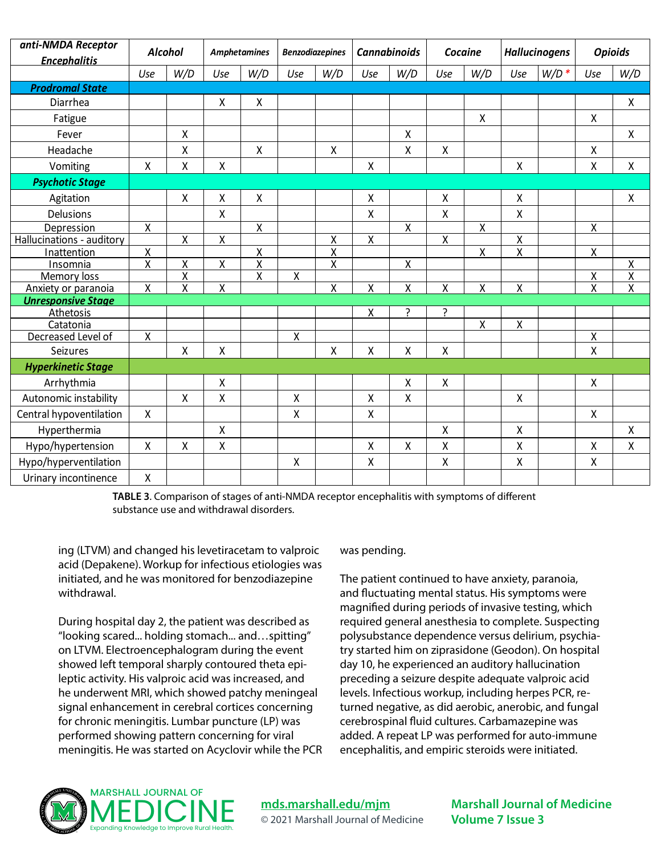| anti-NMDA Receptor        | <b>Alcohol</b>          |                         | <b>Amphetamines</b>     |                         | <b>Benzodiazepines</b> |                         | <b>Cannabinoids</b> |                    | Cocaine                 |                         | <b>Hallucinogens</b>    |         | <b>Opioids</b>          |                         |
|---------------------------|-------------------------|-------------------------|-------------------------|-------------------------|------------------------|-------------------------|---------------------|--------------------|-------------------------|-------------------------|-------------------------|---------|-------------------------|-------------------------|
| <b>Encephalitis</b>       |                         |                         |                         |                         |                        |                         |                     |                    |                         |                         |                         |         |                         |                         |
|                           | Use                     | W/D                     | Use                     | W/D                     | Use                    | W/D                     | Use                 | W/D                | Use                     | W/D                     | Use                     | $W/D$ * | Use                     | W/D                     |
| <b>Prodromal State</b>    |                         |                         |                         |                         |                        |                         |                     |                    |                         |                         |                         |         |                         |                         |
| Diarrhea                  |                         |                         | X                       | Χ                       |                        |                         |                     |                    |                         |                         |                         |         |                         | X                       |
| Fatigue                   |                         |                         |                         |                         |                        |                         |                     |                    |                         | Χ                       |                         |         | X                       |                         |
| Fever                     |                         | X                       |                         |                         |                        |                         |                     | X                  |                         |                         |                         |         |                         | X                       |
| Headache                  |                         | Χ                       |                         | Χ                       |                        | $\mathsf{X}$            |                     | Χ                  | $\mathsf{X}$            |                         |                         |         | Χ                       |                         |
| Vomiting                  | X                       | Χ                       | $\pmb{\mathsf{X}}$      |                         |                        |                         | Χ                   |                    |                         |                         | Χ                       |         | Χ                       | $\pmb{\mathsf{X}}$      |
| <b>Psychotic Stage</b>    |                         |                         |                         |                         |                        |                         |                     |                    |                         |                         |                         |         |                         |                         |
| Agitation                 |                         | Χ                       | Χ                       | Χ                       |                        |                         | Χ                   |                    | Χ                       |                         | Χ                       |         |                         | Χ                       |
| <b>Delusions</b>          |                         |                         | $\mathsf{X}$            |                         |                        |                         | X                   |                    | $\mathsf{X}$            |                         | Χ                       |         |                         |                         |
| Depression                | $\pmb{\mathsf{X}}$      |                         |                         | Χ                       |                        |                         |                     | $\pmb{\mathsf{X}}$ |                         | $\pmb{\mathsf{X}}$      |                         |         | $\pmb{\mathsf{X}}$      |                         |
| Hallucinations - auditory |                         | $\pmb{\mathsf{X}}$      | $\mathsf{X}$            |                         |                        | X                       | Χ                   |                    | $\sf X$                 |                         | $\overline{\mathsf{X}}$ |         |                         |                         |
| Inattention               | $\overline{\mathsf{X}}$ |                         |                         | $\overline{\mathsf{X}}$ |                        | $\overline{\mathsf{x}}$ |                     |                    |                         | $\overline{\mathsf{x}}$ | $\overline{x}$          |         | $\overline{\mathsf{X}}$ |                         |
| Insomnia                  | $\overline{\mathsf{x}}$ | Χ                       | $\overline{\mathsf{X}}$ | $\overline{X}$          |                        | $\overline{\mathsf{x}}$ |                     | Χ                  |                         |                         |                         |         |                         | Χ                       |
| Memory loss               |                         | $\overline{\mathsf{x}}$ |                         | $\overline{\mathsf{x}}$ | $\pmb{\mathsf{X}}$     |                         |                     |                    |                         |                         |                         |         | Χ                       | X                       |
| Anxiety or paranoia       | X                       | $\overline{\mathsf{x}}$ | X                       |                         |                        | X                       | X                   | Χ                  | $\overline{\mathsf{x}}$ | Χ                       | Χ                       |         | $\overline{\mathsf{x}}$ | $\overline{\mathsf{x}}$ |
| <b>Unresponsive Stage</b> |                         |                         |                         |                         |                        |                         |                     |                    |                         |                         |                         |         |                         |                         |
| Athetosis                 |                         |                         |                         |                         |                        |                         | Χ                   | ?                  | 5.                      |                         |                         |         |                         |                         |
| Catatonia                 |                         |                         |                         |                         |                        |                         |                     |                    |                         | Χ                       | Χ                       |         |                         |                         |
| Decreased Level of        | Χ                       |                         |                         |                         | Χ                      |                         |                     |                    |                         |                         |                         |         | Χ                       |                         |
| Seizures                  |                         | X                       | Χ                       |                         |                        | X                       | Χ                   | Χ                  | X                       |                         |                         |         | Χ                       |                         |
| <b>Hyperkinetic Stage</b> |                         |                         |                         |                         |                        |                         |                     |                    |                         |                         |                         |         |                         |                         |
| Arrhythmia                |                         |                         | $\mathsf{X}$            |                         |                        |                         |                     | Χ                  | $\sf X$                 |                         |                         |         | Χ                       |                         |
| Autonomic instability     |                         | X                       | $\pmb{\mathsf{X}}$      |                         | $\pmb{\mathsf{X}}$     |                         | Χ                   | Χ                  |                         |                         | X                       |         |                         |                         |
| Central hypoventilation   | $\pmb{\mathsf{X}}$      |                         |                         |                         | Χ                      |                         | Χ                   |                    |                         |                         |                         |         | $\pmb{\mathsf{X}}$      |                         |
| Hyperthermia              |                         |                         | $\sf X$                 |                         |                        |                         |                     |                    | $\mathsf{X}$            |                         | $\pmb{\mathsf{X}}$      |         |                         | $\mathsf{X}$            |
| Hypo/hypertension         | Χ                       | X                       | $\pmb{\mathsf{X}}$      |                         |                        |                         | Χ                   | Χ                  | $\pmb{\mathsf{X}}$      |                         | Χ                       |         | Χ                       | Χ                       |
| Hypo/hyperventilation     |                         |                         |                         |                         | Χ                      |                         | Χ                   |                    | Χ                       |                         | Χ                       |         | Χ                       |                         |
| Urinary incontinence      | Χ                       |                         |                         |                         |                        |                         |                     |                    |                         |                         |                         |         |                         |                         |

**TABLE 3**. Comparison of stages of anti-NMDA receptor encephalitis with symptoms of different substance use and withdrawal disorders.

ing (LTVM) and changed his levetiracetam to valproic acid (Depakene). Workup for infectious etiologies was initiated, and he was monitored for benzodiazepine withdrawal.

During hospital day 2, the patient was described as "looking scared... holding stomach... and…spitting" on LTVM. Electroencephalogram during the event showed left temporal sharply contoured theta epileptic activity. His valproic acid was increased, and he underwent MRI, which showed patchy meningeal signal enhancement in cerebral cortices concerning for chronic meningitis. Lumbar puncture (LP) was performed showing pattern concerning for viral meningitis. He was started on Acyclovir while the PCR

#### was pending.

The patient continued to have anxiety, paranoia, and fluctuating mental status. His symptoms were magnified during periods of invasive testing, which required general anesthesia to complete. Suspecting polysubstance dependence versus delirium, psychiatry started him on ziprasidone (Geodon). On hospital day 10, he experienced an auditory hallucination preceding a seizure despite adequate valproic acid levels. Infectious workup, including herpes PCR, returned negative, as did aerobic, anerobic, and fungal cerebrospinal fluid cultures. Carbamazepine was added. A repeat LP was performed for auto-immune encephalitis, and empiric steroids were initiated.



**[mds.marshall.edu/mjm](https://mds.marshall.edu/mjm/)** © 2021 Marshall Journal of Medicine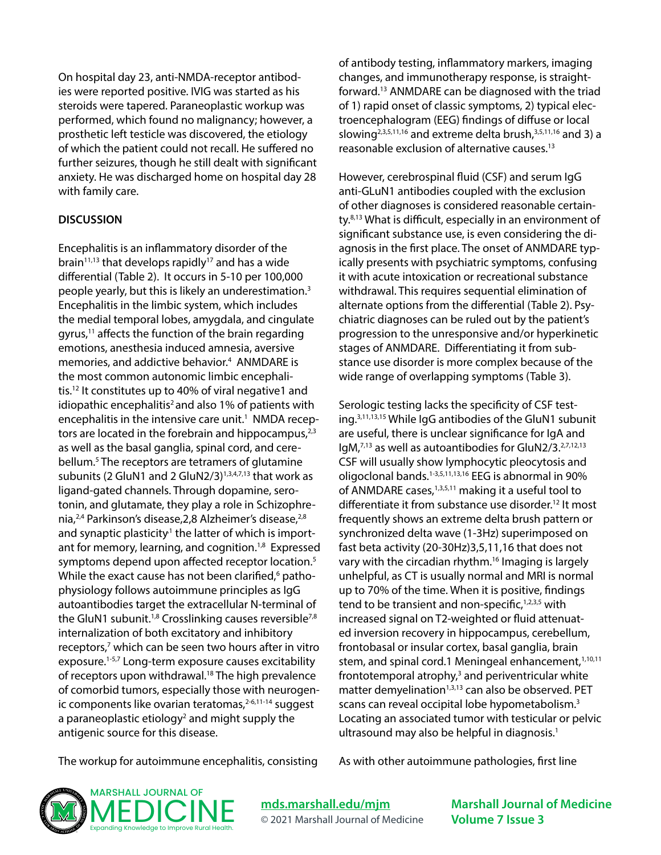On hospital day 23, anti-NMDA-receptor antibodies were reported positive. IVIG was started as his steroids were tapered. Paraneoplastic workup was performed, which found no malignancy; however, a prosthetic left testicle was discovered, the etiology of which the patient could not recall. He suffered no further seizures, though he still dealt with significant anxiety. He was discharged home on hospital day 28 with family care.

#### **DISCUSSION**

Encephalitis is an inflammatory disorder of the brain<sup>11,13</sup> that develops rapidly<sup>17</sup> and has a wide differential (Table 2). It occurs in 5-10 per 100,000 people yearly, but this is likely an underestimation.3 Encephalitis in the limbic system, which includes the medial temporal lobes, amygdala, and cingulate gyrus, $11$  affects the function of the brain regarding emotions, anesthesia induced amnesia, aversive memories, and addictive behavior.<sup>4</sup> ANMDARE is the most common autonomic limbic encephalitis.12 It constitutes up to 40% of viral negative1 and idiopathic encephalitis<sup>2</sup> and also 1% of patients with encephalitis in the intensive care unit.<sup>1</sup> NMDA receptors are located in the forebrain and hippocampus, $2,3$ as well as the basal ganglia, spinal cord, and cerebellum.<sup>5</sup> The receptors are tetramers of glutamine subunits (2 GluN1 and 2 GluN2/3) $1,3,4,7,13$  that work as ligand-gated channels. Through dopamine, serotonin, and glutamate, they play a role in Schizophrenia,<sup>2,4</sup> Parkinson's disease, 2,8 Alzheimer's disease, <sup>2,8</sup> and synaptic plasticity<sup>1</sup> the latter of which is important for memory, learning, and cognition.<sup>1,8</sup> Expressed symptoms depend upon affected receptor location.<sup>5</sup> While the exact cause has not been clarified,<sup>6</sup> pathophysiology follows autoimmune principles as IgG autoantibodies target the extracellular N-terminal of the GluN1 subunit.<sup>1,8</sup> Crosslinking causes reversible<sup>7,8</sup> internalization of both excitatory and inhibitory receptors,<sup>7</sup> which can be seen two hours after in vitro exposure.1-5,7 Long-term exposure causes excitability of receptors upon withdrawal.<sup>18</sup> The high prevalence of comorbid tumors, especially those with neurogenic components like ovarian teratomas, $2-6,11-14$  suggest a paraneoplastic etiology<sup>2</sup> and might supply the antigenic source for this disease.

of antibody testing, inflammatory markers, imaging changes, and immunotherapy response, is straightforward.13 ANMDARE can be diagnosed with the triad of 1) rapid onset of classic symptoms, 2) typical electroencephalogram (EEG) findings of diffuse or local slowing<sup>2,3,5,11,16</sup> and extreme delta brush, $3,5,11,16$  and 3) a reasonable exclusion of alternative causes.<sup>13</sup>

However, cerebrospinal fluid (CSF) and serum IgG anti-GLuN1 antibodies coupled with the exclusion of other diagnoses is considered reasonable certainty.8,13 What is difficult, especially in an environment of significant substance use, is even considering the diagnosis in the first place. The onset of ANMDARE typically presents with psychiatric symptoms, confusing it with acute intoxication or recreational substance withdrawal. This requires sequential elimination of alternate options from the differential (Table 2). Psychiatric diagnoses can be ruled out by the patient's progression to the unresponsive and/or hyperkinetic stages of ANMDARE. Differentiating it from substance use disorder is more complex because of the wide range of overlapping symptoms (Table 3).

Serologic testing lacks the specificity of CSF testing.3,11,13,15 While IgG antibodies of the GluN1 subunit are useful, there is unclear significance for IgA and IgM,7,13 as well as autoantibodies for GluN2/3.2,7,12,13 CSF will usually show lymphocytic pleocytosis and oligoclonal bands.1-3,5,11,13,16 EEG is abnormal in 90% of ANMDARE cases,<sup>1,3,5,11</sup> making it a useful tool to differentiate it from substance use disorder.<sup>12</sup> It most frequently shows an extreme delta brush pattern or synchronized delta wave (1-3Hz) superimposed on fast beta activity (20-30Hz)3,5,11,16 that does not vary with the circadian rhythm.<sup>16</sup> Imaging is largely unhelpful, as CT is usually normal and MRI is normal up to 70% of the time. When it is positive, findings tend to be transient and non-specific, $1,2,3,5$  with increased signal on T2-weighted or fluid attenuated inversion recovery in hippocampus, cerebellum, frontobasal or insular cortex, basal ganglia, brain stem, and spinal cord.1 Meningeal enhancement,<sup>1,10,11</sup> frontotemporal atrophy, $3$  and periventricular white matter demyelination<sup>1,3,13</sup> can also be observed. PET scans can reveal occipital lobe hypometabolism.<sup>3</sup> Locating an associated tumor with testicular or pelvic ultrasound may also be helpful in diagnosis. $1$ 

The workup for autoimmune encephalitis, consisting

As with other autoimmune pathologies, first line



**[mds.marshall.edu/mjm](https://mds.marshall.edu/mjm/)** © 2021 Marshall Journal of Medicine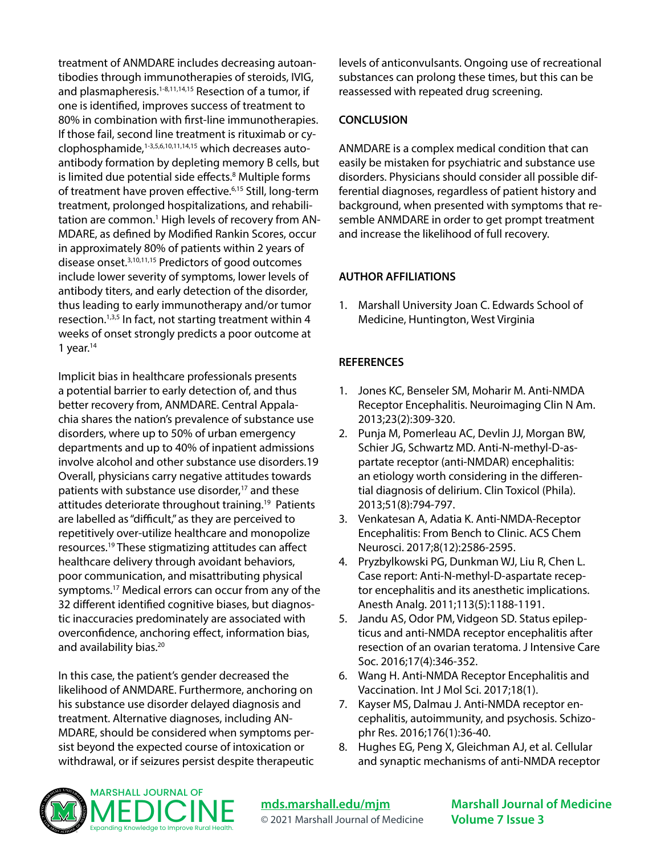treatment of ANMDARE includes decreasing autoantibodies through immunotherapies of steroids, IVIG, and plasmapheresis.<sup>1-8,11,14,15</sup> Resection of a tumor, if one is identified, improves success of treatment to 80% in combination with first-line immunotherapies. If those fail, second line treatment is rituximab or cyclophosphamide,1-3,5,6,10,11,14,15 which decreases autoantibody formation by depleting memory B cells, but is limited due potential side effects.<sup>8</sup> Multiple forms of treatment have proven effective.6,15 Still, long-term treatment, prolonged hospitalizations, and rehabilitation are common.<sup>1</sup> High levels of recovery from AN-MDARE, as defined by Modified Rankin Scores, occur in approximately 80% of patients within 2 years of disease onset.3,10,11,15 Predictors of good outcomes include lower severity of symptoms, lower levels of antibody titers, and early detection of the disorder, thus leading to early immunotherapy and/or tumor resection.<sup>1,3,5</sup> In fact, not starting treatment within 4 weeks of onset strongly predicts a poor outcome at 1 year. $14$ 

Implicit bias in healthcare professionals presents a potential barrier to early detection of, and thus better recovery from, ANMDARE. Central Appalachia shares the nation's prevalence of substance use disorders, where up to 50% of urban emergency departments and up to 40% of inpatient admissions involve alcohol and other substance use disorders.19 Overall, physicians carry negative attitudes towards patients with substance use disorder,<sup>17</sup> and these attitudes deteriorate throughout training.19 Patients are labelled as "difficult," as they are perceived to repetitively over-utilize healthcare and monopolize resources.19 These stigmatizing attitudes can affect healthcare delivery through avoidant behaviors, poor communication, and misattributing physical symptoms.<sup>17</sup> Medical errors can occur from any of the 32 different identified cognitive biases, but diagnostic inaccuracies predominately are associated with overconfidence, anchoring effect, information bias, and availability bias.<sup>20</sup>

In this case, the patient's gender decreased the likelihood of ANMDARE. Furthermore, anchoring on his substance use disorder delayed diagnosis and treatment. Alternative diagnoses, including AN-MDARE, should be considered when symptoms persist beyond the expected course of intoxication or withdrawal, or if seizures persist despite therapeutic levels of anticonvulsants. Ongoing use of recreational substances can prolong these times, but this can be reassessed with repeated drug screening.

#### **CONCLUSION**

ANMDARE is a complex medical condition that can easily be mistaken for psychiatric and substance use disorders. Physicians should consider all possible differential diagnoses, regardless of patient history and background, when presented with symptoms that resemble ANMDARE in order to get prompt treatment and increase the likelihood of full recovery.

#### **AUTHOR AFFILIATIONS**

1. Marshall University Joan C. Edwards School of Medicine, Huntington, West Virginia

#### **REFERENCES**

- 1. Jones KC, Benseler SM, Moharir M. Anti-NMDA Receptor Encephalitis. Neuroimaging Clin N Am. 2013;23(2):309-320.
- 2. Punja M, Pomerleau AC, Devlin JJ, Morgan BW, Schier JG, Schwartz MD. Anti-N-methyl-D-aspartate receptor (anti-NMDAR) encephalitis: an etiology worth considering in the differential diagnosis of delirium. Clin Toxicol (Phila). 2013;51(8):794-797.
- 3. Venkatesan A, Adatia K. Anti-NMDA-Receptor Encephalitis: From Bench to Clinic. ACS Chem Neurosci. 2017;8(12):2586-2595.
- 4. Pryzbylkowski PG, Dunkman WJ, Liu R, Chen L. Case report: Anti-N-methyl-D-aspartate receptor encephalitis and its anesthetic implications. Anesth Analg. 2011;113(5):1188-1191.
- 5. Jandu AS, Odor PM, Vidgeon SD. Status epilepticus and anti-NMDA receptor encephalitis after resection of an ovarian teratoma. J Intensive Care Soc. 2016;17(4):346-352.
- 6. Wang H. Anti-NMDA Receptor Encephalitis and Vaccination. Int J Mol Sci. 2017;18(1).
- 7. Kayser MS, Dalmau J. Anti-NMDA receptor encephalitis, autoimmunity, and psychosis. Schizophr Res. 2016;176(1):36-40.
- 8. Hughes EG, Peng X, Gleichman AJ, et al. Cellular and synaptic mechanisms of anti-NMDA receptor



**[mds.marshall.edu/mjm](https://mds.marshall.edu/mjm/)** © 2021 Marshall Journal of Medicine